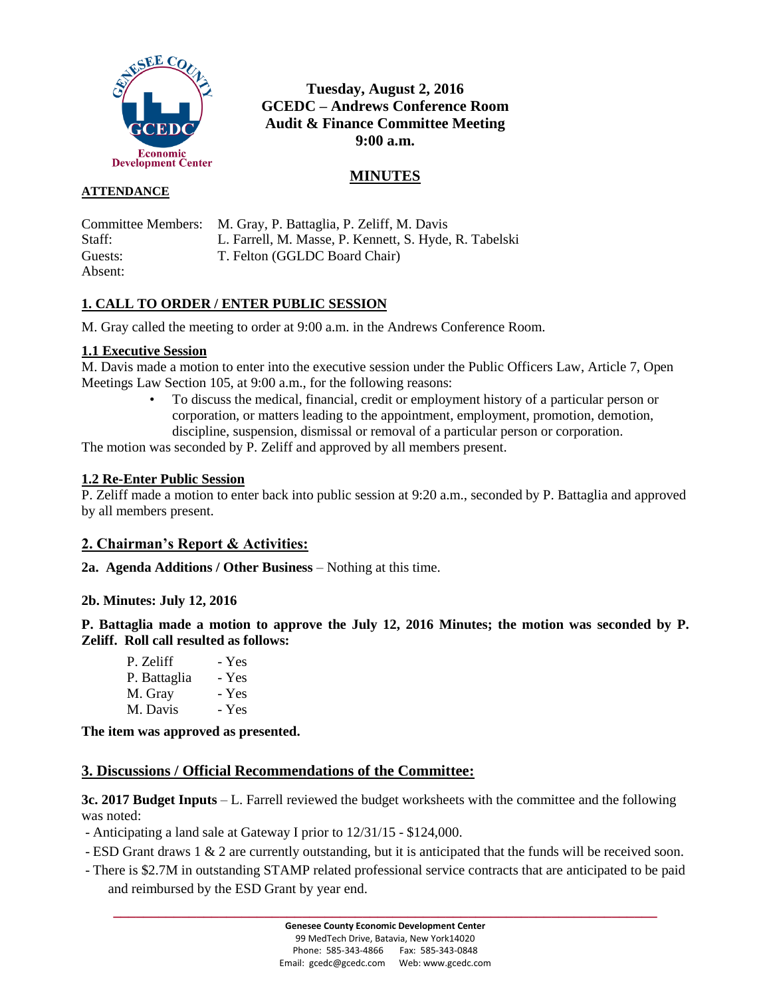

# **Tuesday, August 2, 2016 GCEDC – Andrews Conference Room Audit & Finance Committee Meeting 9:00 a.m.**

# **MINUTES**

### **ATTENDANCE**

| Committee Members: | M. Gray, P. Battaglia, P. Zeliff, M. Davis             |
|--------------------|--------------------------------------------------------|
| Staff:             | L. Farrell, M. Masse, P. Kennett, S. Hyde, R. Tabelski |
| Guests:            | T. Felton (GGLDC Board Chair)                          |
| Absent:            |                                                        |

## **1. CALL TO ORDER / ENTER PUBLIC SESSION**

M. Gray called the meeting to order at 9:00 a.m. in the Andrews Conference Room.

#### **1.1 Executive Session**

M. Davis made a motion to enter into the executive session under the Public Officers Law, Article 7, Open Meetings Law Section 105, at 9:00 a.m., for the following reasons:

> • To discuss the medical, financial, credit or employment history of a particular person or corporation, or matters leading to the appointment, employment, promotion, demotion, discipline, suspension, dismissal or removal of a particular person or corporation.

The motion was seconded by P. Zeliff and approved by all members present.

#### **1.2 Re-Enter Public Session**

P. Zeliff made a motion to enter back into public session at 9:20 a.m., seconded by P. Battaglia and approved by all members present.

## **2. Chairman's Report & Activities:**

**2a. Agenda Additions / Other Business** – Nothing at this time.

#### **2b. Minutes: July 12, 2016**

**P. Battaglia made a motion to approve the July 12, 2016 Minutes; the motion was seconded by P. Zeliff. Roll call resulted as follows:**

| P. Zeliff    | - Yes |
|--------------|-------|
| P. Battaglia | - Yes |
| M. Gray      | - Yes |
| M. Davis     | - Yes |

**The item was approved as presented.**

## **3. Discussions / Official Recommendations of the Committee:**

**3c. 2017 Budget Inputs** – L. Farrell reviewed the budget worksheets with the committee and the following was noted:

- Anticipating a land sale at Gateway I prior to 12/31/15 - \$124,000.

- ESD Grant draws 1 & 2 are currently outstanding, but it is anticipated that the funds will be received soon.
- There is \$2.7M in outstanding STAMP related professional service contracts that are anticipated to be paid and reimbursed by the ESD Grant by year end.

**\_\_\_\_\_\_\_\_\_\_\_\_\_\_\_\_\_\_\_\_\_\_\_\_\_\_\_\_\_\_\_\_\_\_\_\_\_\_\_\_\_\_\_\_\_\_\_\_\_\_\_\_\_\_\_\_\_\_\_\_\_\_\_\_\_\_\_\_\_\_\_\_**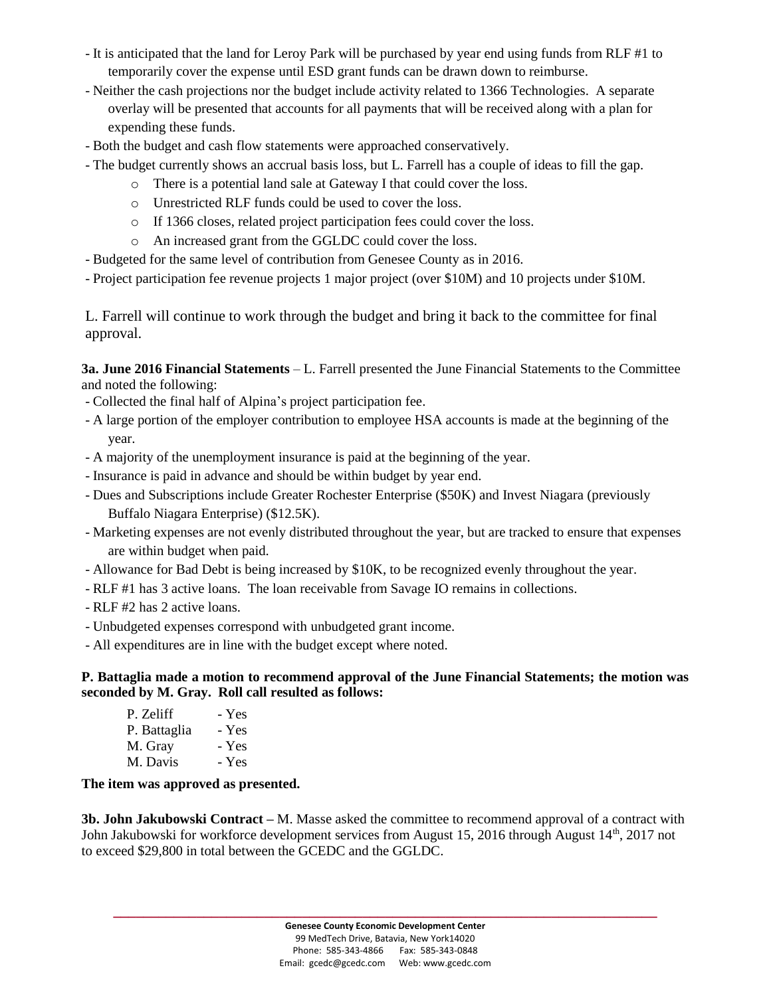- It is anticipated that the land for Leroy Park will be purchased by year end using funds from RLF #1 to temporarily cover the expense until ESD grant funds can be drawn down to reimburse.
- Neither the cash projections nor the budget include activity related to 1366 Technologies. A separate overlay will be presented that accounts for all payments that will be received along with a plan for expending these funds.
- Both the budget and cash flow statements were approached conservatively.
- The budget currently shows an accrual basis loss, but L. Farrell has a couple of ideas to fill the gap.
	- o There is a potential land sale at Gateway I that could cover the loss.
	- o Unrestricted RLF funds could be used to cover the loss.
	- o If 1366 closes, related project participation fees could cover the loss.
	- o An increased grant from the GGLDC could cover the loss.
- Budgeted for the same level of contribution from Genesee County as in 2016.
- Project participation fee revenue projects 1 major project (over \$10M) and 10 projects under \$10M.

L. Farrell will continue to work through the budget and bring it back to the committee for final approval.

**3a. June 2016 Financial Statements** – L. Farrell presented the June Financial Statements to the Committee and noted the following:

- Collected the final half of Alpina's project participation fee.
- A large portion of the employer contribution to employee HSA accounts is made at the beginning of the year.
- A majority of the unemployment insurance is paid at the beginning of the year.
- Insurance is paid in advance and should be within budget by year end.
- Dues and Subscriptions include Greater Rochester Enterprise (\$50K) and Invest Niagara (previously Buffalo Niagara Enterprise) (\$12.5K).
- Marketing expenses are not evenly distributed throughout the year, but are tracked to ensure that expenses are within budget when paid.
- Allowance for Bad Debt is being increased by \$10K, to be recognized evenly throughout the year.
- RLF #1 has 3 active loans. The loan receivable from Savage IO remains in collections.
- RLF #2 has 2 active loans.
- Unbudgeted expenses correspond with unbudgeted grant income.
- All expenditures are in line with the budget except where noted.

**P. Battaglia made a motion to recommend approval of the June Financial Statements; the motion was seconded by M. Gray. Roll call resulted as follows:**

| P. Zeliff    | - Yes |
|--------------|-------|
| P. Battaglia | - Yes |
| M. Gray      | - Yes |
| M. Davis     | - Yes |

**The item was approved as presented.**

**3b. John Jakubowski Contract –** M. Masse asked the committee to recommend approval of a contract with John Jakubowski for workforce development services from August 15, 2016 through August 14<sup>th</sup>, 2017 not to exceed \$29,800 in total between the GCEDC and the GGLDC.

**\_\_\_\_\_\_\_\_\_\_\_\_\_\_\_\_\_\_\_\_\_\_\_\_\_\_\_\_\_\_\_\_\_\_\_\_\_\_\_\_\_\_\_\_\_\_\_\_\_\_\_\_\_\_\_\_\_\_\_\_\_\_\_\_\_\_\_\_\_\_\_\_**